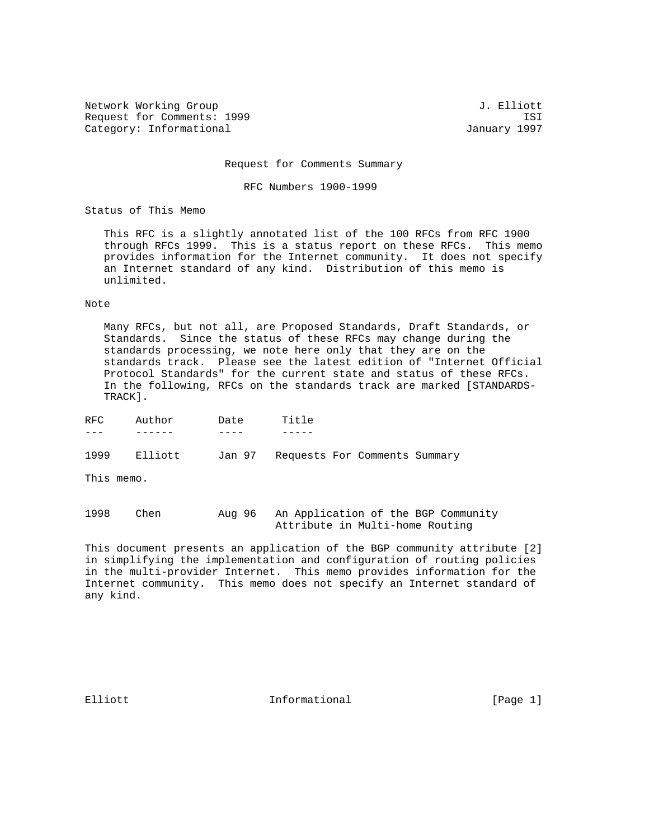Network Working Group 3. The Second Second Second Second Second Second Second Second Second Second Second Second Second Second Second Second Second Second Second Second Second Second Second Second Second Second Second Seco Request for Comments: 1999 ISI Category: Informational and Category: Informational According to the USD of the USD of the USD of the USD of the U

Request for Comments Summary

RFC Numbers 1900-1999

Status of This Memo

 This RFC is a slightly annotated list of the 100 RFCs from RFC 1900 through RFCs 1999. This is a status report on these RFCs. This memo provides information for the Internet community. It does not specify an Internet standard of any kind. Distribution of this memo is unlimited.

#### Note

 Many RFCs, but not all, are Proposed Standards, Draft Standards, or Standards. Since the status of these RFCs may change during the standards processing, we note here only that they are on the standards track. Please see the latest edition of "Internet Official Protocol Standards" for the current state and status of these RFCs. In the following, RFCs on the standards track are marked [STANDARDS- TRACK].

| RFC | Author | Date | ጥ ነተ<br>$\overline{P}$ |
|-----|--------|------|------------------------|
|     |        |      |                        |

1999 Elliott Jan 97 Requests For Comments Summary

This memo.

1998 Chen Aug 96 An Application of the BGP Community Attribute in Multi-home Routing

This document presents an application of the BGP community attribute [2] in simplifying the implementation and configuration of routing policies in the multi-provider Internet. This memo provides information for the Internet community. This memo does not specify an Internet standard of any kind.

Elliott **Informational Informational** [Page 1]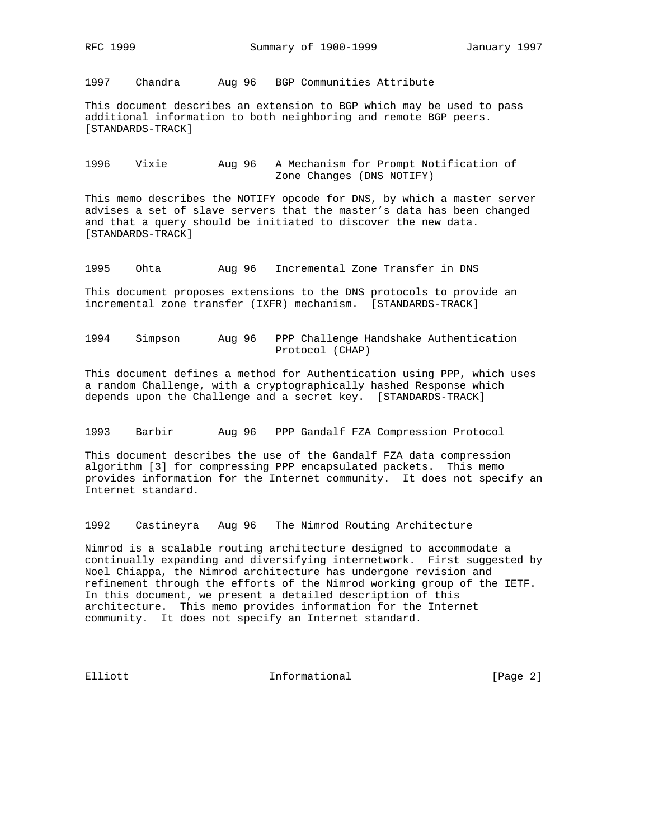1997 Chandra Aug 96 BGP Communities Attribute

This document describes an extension to BGP which may be used to pass additional information to both neighboring and remote BGP peers. [STANDARDS-TRACK]

1996 Vixie Aug 96 A Mechanism for Prompt Notification of Zone Changes (DNS NOTIFY)

This memo describes the NOTIFY opcode for DNS, by which a master server advises a set of slave servers that the master's data has been changed and that a query should be initiated to discover the new data. [STANDARDS-TRACK]

1995 Ohta Aug 96 Incremental Zone Transfer in DNS

This document proposes extensions to the DNS protocols to provide an incremental zone transfer (IXFR) mechanism. [STANDARDS-TRACK]

1994 Simpson Aug 96 PPP Challenge Handshake Authentication Protocol (CHAP)

This document defines a method for Authentication using PPP, which uses a random Challenge, with a cryptographically hashed Response which depends upon the Challenge and a secret key. [STANDARDS-TRACK]

1993 Barbir Aug 96 PPP Gandalf FZA Compression Protocol

This document describes the use of the Gandalf FZA data compression algorithm [3] for compressing PPP encapsulated packets. This memo provides information for the Internet community. It does not specify an Internet standard.

1992 Castineyra Aug 96 The Nimrod Routing Architecture

Nimrod is a scalable routing architecture designed to accommodate a continually expanding and diversifying internetwork. First suggested by Noel Chiappa, the Nimrod architecture has undergone revision and refinement through the efforts of the Nimrod working group of the IETF. In this document, we present a detailed description of this architecture. This memo provides information for the Internet community. It does not specify an Internet standard.

Elliott 1nformational [Page 2]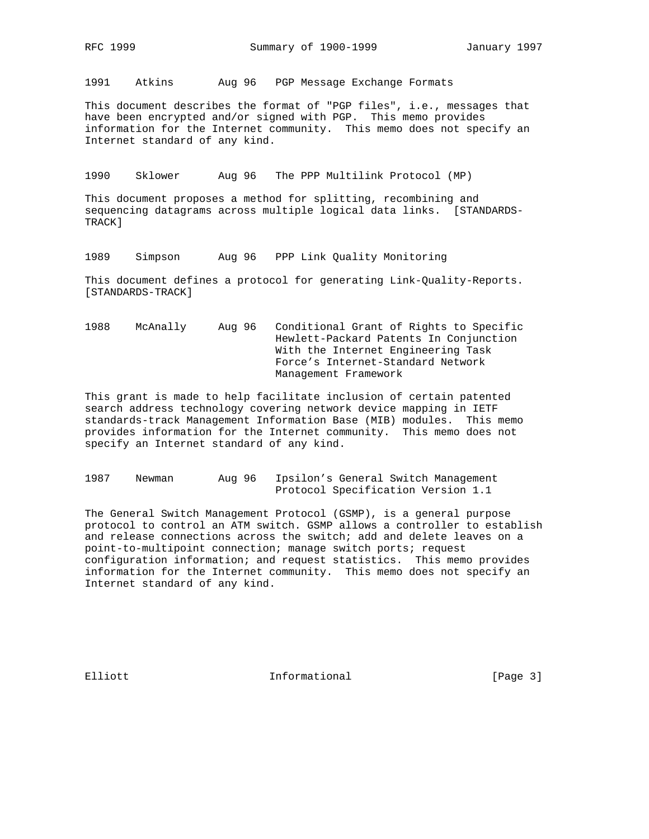1991 Atkins Aug 96 PGP Message Exchange Formats

This document describes the format of "PGP files", i.e., messages that have been encrypted and/or signed with PGP. This memo provides information for the Internet community. This memo does not specify an Internet standard of any kind.

1990 Sklower Aug 96 The PPP Multilink Protocol (MP)

This document proposes a method for splitting, recombining and sequencing datagrams across multiple logical data links. [STANDARDS-TRACK]

1989 Simpson Aug 96 PPP Link Quality Monitoring

This document defines a protocol for generating Link-Quality-Reports. [STANDARDS-TRACK]

1988 McAnally Aug 96 Conditional Grant of Rights to Specific Hewlett-Packard Patents In Conjunction With the Internet Engineering Task Force's Internet-Standard Network Management Framework

This grant is made to help facilitate inclusion of certain patented search address technology covering network device mapping in IETF standards-track Management Information Base (MIB) modules. This memo provides information for the Internet community. This memo does not specify an Internet standard of any kind.

1987 Newman Aug 96 Ipsilon's General Switch Management Protocol Specification Version 1.1

The General Switch Management Protocol (GSMP), is a general purpose protocol to control an ATM switch. GSMP allows a controller to establish and release connections across the switch; add and delete leaves on a point-to-multipoint connection; manage switch ports; request configuration information; and request statistics. This memo provides information for the Internet community. This memo does not specify an Internet standard of any kind.

Elliott 1nformational [Page 3]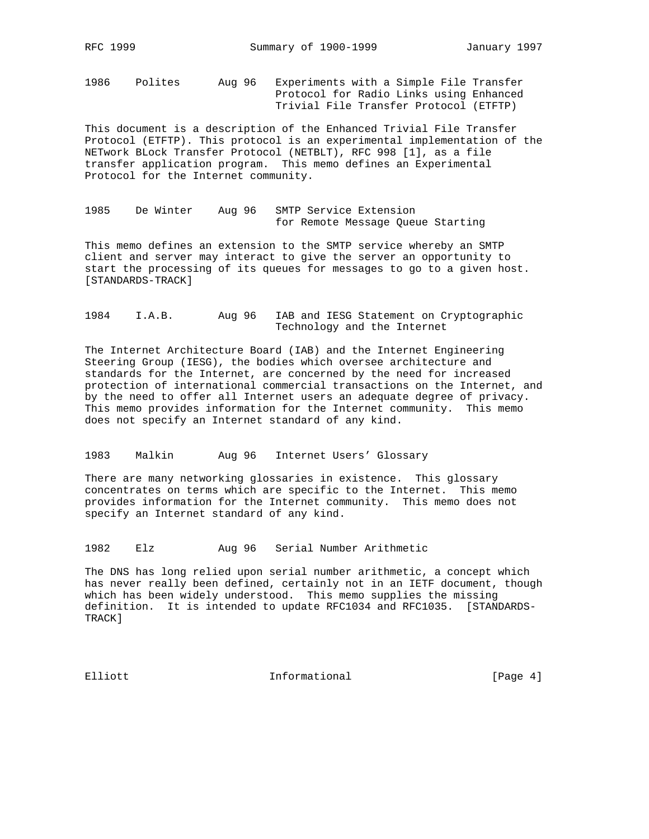1986 Polites Aug 96 Experiments with a Simple File Transfer Protocol for Radio Links using Enhanced Trivial File Transfer Protocol (ETFTP)

This document is a description of the Enhanced Trivial File Transfer Protocol (ETFTP). This protocol is an experimental implementation of the NETwork BLock Transfer Protocol (NETBLT), RFC 998 [1], as a file transfer application program. This memo defines an Experimental Protocol for the Internet community.

1985 De Winter Aug 96 SMTP Service Extension for Remote Message Queue Starting

This memo defines an extension to the SMTP service whereby an SMTP client and server may interact to give the server an opportunity to start the processing of its queues for messages to go to a given host. [STANDARDS-TRACK]

## 1984 I.A.B. Aug 96 IAB and IESG Statement on Cryptographic Technology and the Internet

The Internet Architecture Board (IAB) and the Internet Engineering Steering Group (IESG), the bodies which oversee architecture and standards for the Internet, are concerned by the need for increased protection of international commercial transactions on the Internet, and by the need to offer all Internet users an adequate degree of privacy. This memo provides information for the Internet community. This memo does not specify an Internet standard of any kind.

1983 Malkin Aug 96 Internet Users' Glossary

There are many networking glossaries in existence. This glossary concentrates on terms which are specific to the Internet. This memo provides information for the Internet community. This memo does not specify an Internet standard of any kind.

1982 Elz Aug 96 Serial Number Arithmetic

The DNS has long relied upon serial number arithmetic, a concept which has never really been defined, certainly not in an IETF document, though which has been widely understood. This memo supplies the missing definition. It is intended to update RFC1034 and RFC1035. [STANDARDS-TRACK]

Elliott **Informational Informational** [Page 4]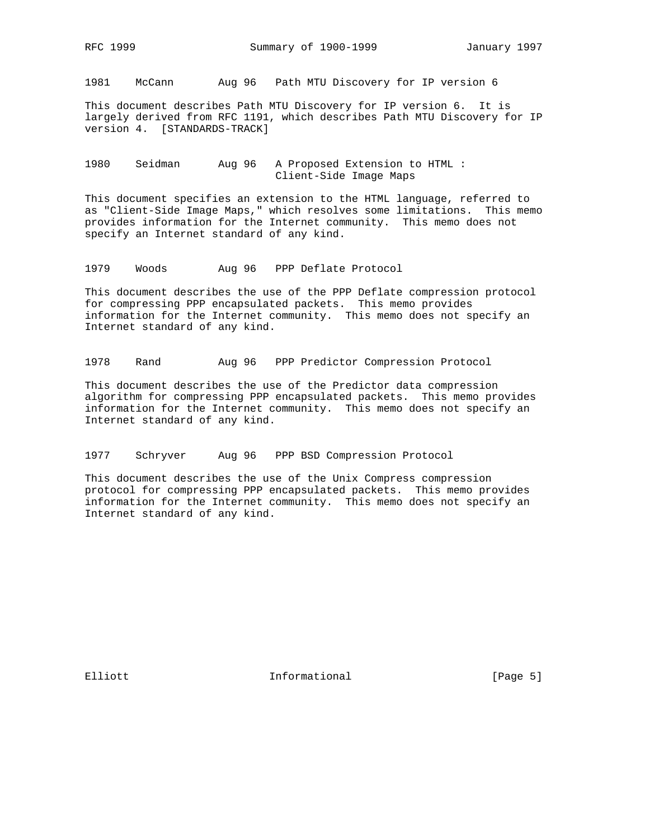1981 McCann Aug 96 Path MTU Discovery for IP version 6

This document describes Path MTU Discovery for IP version 6. It is largely derived from RFC 1191, which describes Path MTU Discovery for IP version 4. [STANDARDS-TRACK]

1980 Seidman Aug 96 A Proposed Extension to HTML : Client-Side Image Maps

This document specifies an extension to the HTML language, referred to as "Client-Side Image Maps," which resolves some limitations. This memo provides information for the Internet community. This memo does not specify an Internet standard of any kind.

1979 Woods Aug 96 PPP Deflate Protocol

This document describes the use of the PPP Deflate compression protocol for compressing PPP encapsulated packets. This memo provides information for the Internet community. This memo does not specify an Internet standard of any kind.

1978 Rand Aug 96 PPP Predictor Compression Protocol

This document describes the use of the Predictor data compression algorithm for compressing PPP encapsulated packets. This memo provides information for the Internet community. This memo does not specify an Internet standard of any kind.

1977 Schryver Aug 96 PPP BSD Compression Protocol

This document describes the use of the Unix Compress compression protocol for compressing PPP encapsulated packets. This memo provides information for the Internet community. This memo does not specify an Internet standard of any kind.

Elliott 1nformational [Page 5]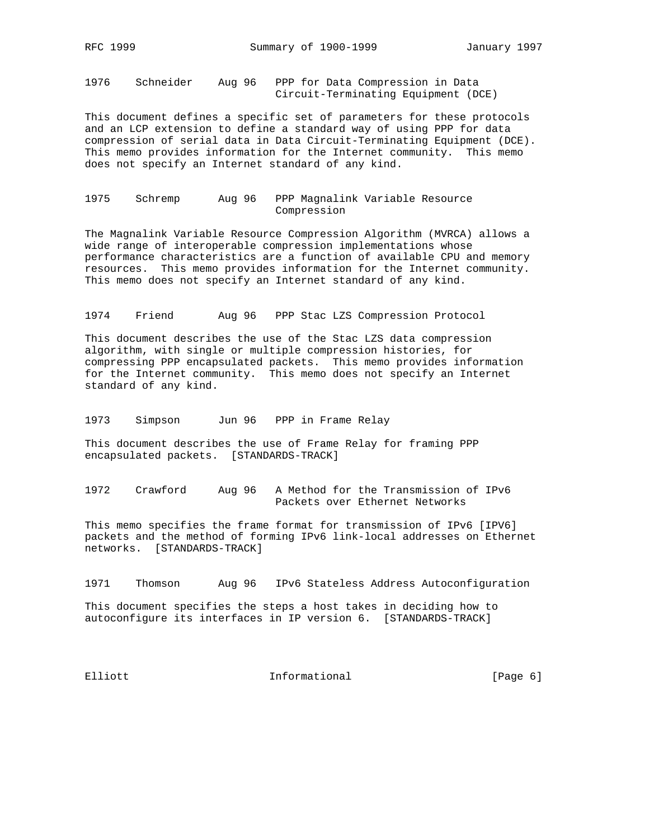1976 Schneider Aug 96 PPP for Data Compression in Data Circuit-Terminating Equipment (DCE)

This document defines a specific set of parameters for these protocols and an LCP extension to define a standard way of using PPP for data compression of serial data in Data Circuit-Terminating Equipment (DCE). This memo provides information for the Internet community. This memo does not specify an Internet standard of any kind.

1975 Schremp Aug 96 PPP Magnalink Variable Resource Compression

The Magnalink Variable Resource Compression Algorithm (MVRCA) allows a wide range of interoperable compression implementations whose performance characteristics are a function of available CPU and memory resources. This memo provides information for the Internet community. This memo does not specify an Internet standard of any kind.

1974 Friend Aug 96 PPP Stac LZS Compression Protocol

This document describes the use of the Stac LZS data compression algorithm, with single or multiple compression histories, for compressing PPP encapsulated packets. This memo provides information for the Internet community. This memo does not specify an Internet standard of any kind.

1973 Simpson Jun 96 PPP in Frame Relay

This document describes the use of Frame Relay for framing PPP encapsulated packets. [STANDARDS-TRACK]

1972 Crawford Aug 96 A Method for the Transmission of IPv6 Packets over Ethernet Networks

This memo specifies the frame format for transmission of IPv6 [IPV6] packets and the method of forming IPv6 link-local addresses on Ethernet networks. [STANDARDS-TRACK]

1971 Thomson Aug 96 IPv6 Stateless Address Autoconfiguration

This document specifies the steps a host takes in deciding how to autoconfigure its interfaces in IP version 6. [STANDARDS-TRACK]

Elliott **Informational Informational** [Page 6]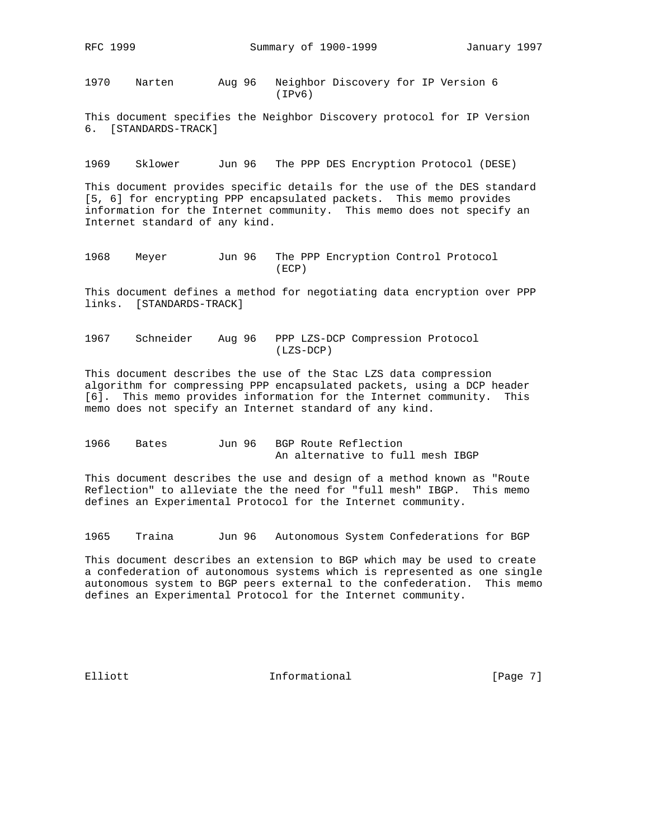1970 Narten Aug 96 Neighbor Discovery for IP Version 6 (IPv6)

This document specifies the Neighbor Discovery protocol for IP Version 6. [STANDARDS-TRACK]

1969 Sklower Jun 96 The PPP DES Encryption Protocol (DESE)

This document provides specific details for the use of the DES standard [5, 6] for encrypting PPP encapsulated packets. This memo provides information for the Internet community. This memo does not specify an Internet standard of any kind.

1968 Meyer Jun 96 The PPP Encryption Control Protocol (ECP)

This document defines a method for negotiating data encryption over PPP links. [STANDARDS-TRACK]

1967 Schneider Aug 96 PPP LZS-DCP Compression Protocol (LZS-DCP)

This document describes the use of the Stac LZS data compression algorithm for compressing PPP encapsulated packets, using a DCP header [6]. This memo provides information for the Internet community. This memo does not specify an Internet standard of any kind.

1966 Bates Jun 96 BGP Route Reflection An alternative to full mesh IBGP

This document describes the use and design of a method known as "Route Reflection" to alleviate the the need for "full mesh" IBGP. This memo defines an Experimental Protocol for the Internet community.

1965 Traina Jun 96 Autonomous System Confederations for BGP

This document describes an extension to BGP which may be used to create a confederation of autonomous systems which is represented as one single autonomous system to BGP peers external to the confederation. This memo defines an Experimental Protocol for the Internet community.

Elliott **Informational Informational** [Page 7]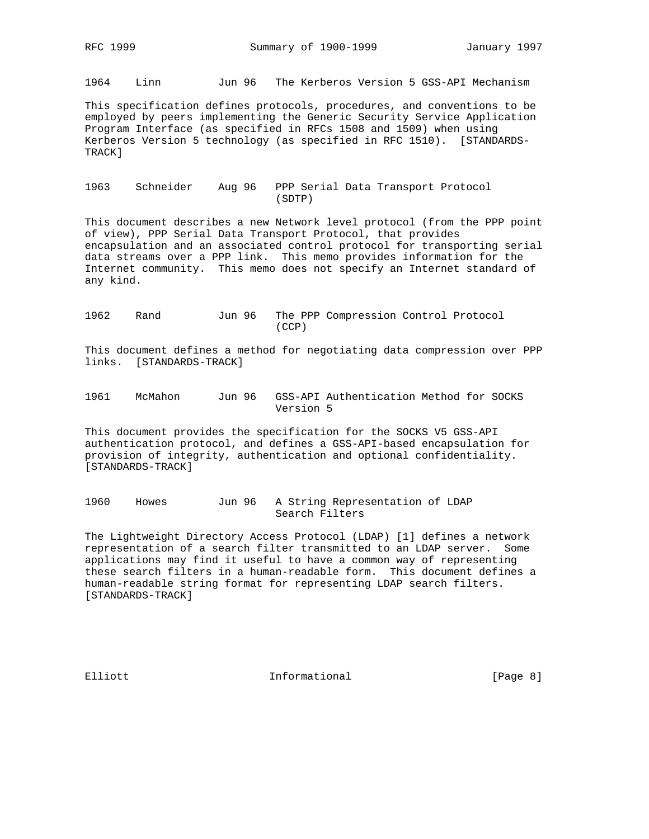1964 Linn Jun 96 The Kerberos Version 5 GSS-API Mechanism

This specification defines protocols, procedures, and conventions to be employed by peers implementing the Generic Security Service Application Program Interface (as specified in RFCs 1508 and 1509) when using Kerberos Version 5 technology (as specified in RFC 1510). [STANDARDS-TRACK]

### 1963 Schneider Aug 96 PPP Serial Data Transport Protocol (SDTP)

This document describes a new Network level protocol (from the PPP point of view), PPP Serial Data Transport Protocol, that provides encapsulation and an associated control protocol for transporting serial data streams over a PPP link. This memo provides information for the Internet community. This memo does not specify an Internet standard of any kind.

1962 Rand Jun 96 The PPP Compression Control Protocol (CCP)

This document defines a method for negotiating data compression over PPP links. [STANDARDS-TRACK]

1961 McMahon Jun 96 GSS-API Authentication Method for SOCKS Version 5

This document provides the specification for the SOCKS V5 GSS-API authentication protocol, and defines a GSS-API-based encapsulation for provision of integrity, authentication and optional confidentiality. [STANDARDS-TRACK]

1960 Howes Jun 96 A String Representation of LDAP Search Filters

The Lightweight Directory Access Protocol (LDAP) [1] defines a network representation of a search filter transmitted to an LDAP server. Some applications may find it useful to have a common way of representing these search filters in a human-readable form. This document defines a human-readable string format for representing LDAP search filters. [STANDARDS-TRACK]

Elliott 1nformational [Page 8]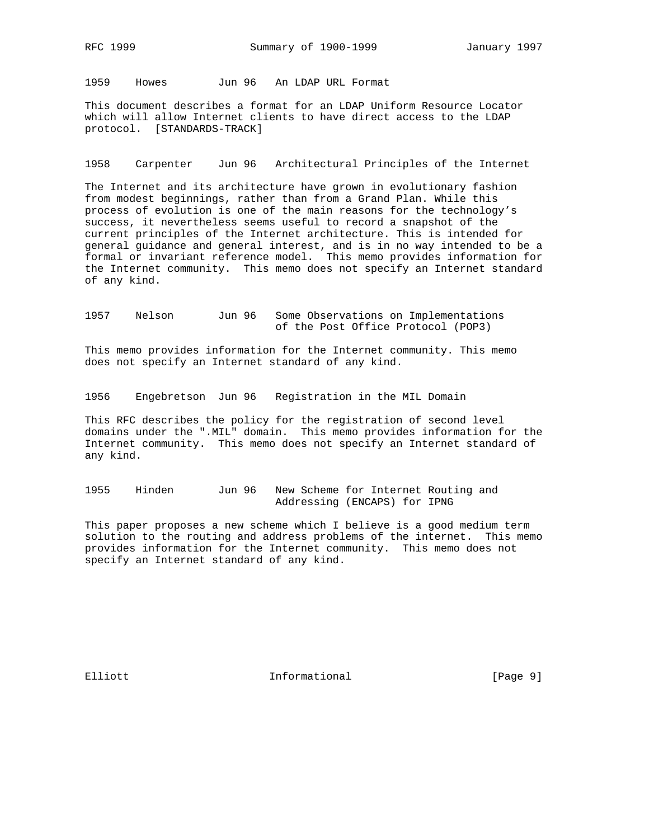1959 Howes Jun 96 An LDAP URL Format

This document describes a format for an LDAP Uniform Resource Locator which will allow Internet clients to have direct access to the LDAP protocol. [STANDARDS-TRACK]

1958 Carpenter Jun 96 Architectural Principles of the Internet

The Internet and its architecture have grown in evolutionary fashion from modest beginnings, rather than from a Grand Plan. While this process of evolution is one of the main reasons for the technology's success, it nevertheless seems useful to record a snapshot of the current principles of the Internet architecture. This is intended for general guidance and general interest, and is in no way intended to be a formal or invariant reference model. This memo provides information for the Internet community. This memo does not specify an Internet standard of any kind.

1957 Nelson Jun 96 Some Observations on Implementations of the Post Office Protocol (POP3)

This memo provides information for the Internet community. This memo does not specify an Internet standard of any kind.

1956 Engebretson Jun 96 Registration in the MIL Domain

This RFC describes the policy for the registration of second level domains under the ".MIL" domain. This memo provides information for the Internet community. This memo does not specify an Internet standard of any kind.

1955 Hinden Jun 96 New Scheme for Internet Routing and Addressing (ENCAPS) for IPNG

This paper proposes a new scheme which I believe is a good medium term solution to the routing and address problems of the internet. This memo provides information for the Internet community. This memo does not specify an Internet standard of any kind.

Elliott 1nformational [Page 9]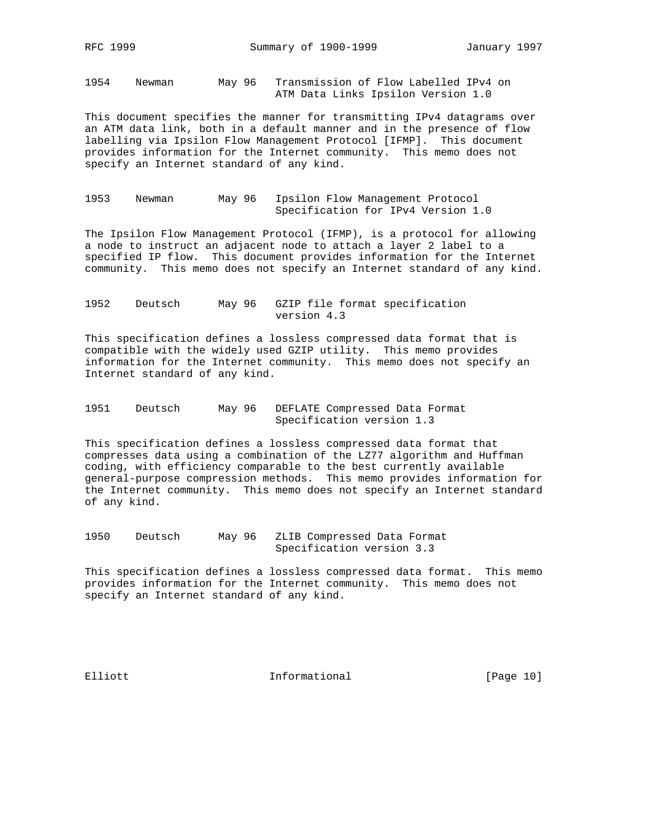1954 Newman May 96 Transmission of Flow Labelled IPv4 on ATM Data Links Ipsilon Version 1.0

This document specifies the manner for transmitting IPv4 datagrams over an ATM data link, both in a default manner and in the presence of flow labelling via Ipsilon Flow Management Protocol [IFMP]. This document provides information for the Internet community. This memo does not specify an Internet standard of any kind.

1953 Newman May 96 Ipsilon Flow Management Protocol Specification for IPv4 Version 1.0

The Ipsilon Flow Management Protocol (IFMP), is a protocol for allowing a node to instruct an adjacent node to attach a layer 2 label to a specified IP flow. This document provides information for the Internet community. This memo does not specify an Internet standard of any kind.

1952 Deutsch May 96 GZIP file format specification version 4.3

This specification defines a lossless compressed data format that is compatible with the widely used GZIP utility. This memo provides information for the Internet community. This memo does not specify an Internet standard of any kind.

1951 Deutsch May 96 DEFLATE Compressed Data Format Specification version 1.3

This specification defines a lossless compressed data format that compresses data using a combination of the LZ77 algorithm and Huffman coding, with efficiency comparable to the best currently available general-purpose compression methods. This memo provides information for the Internet community. This memo does not specify an Internet standard of any kind.

1950 Deutsch May 96 ZLIB Compressed Data Format Specification version 3.3

This specification defines a lossless compressed data format. This memo provides information for the Internet community. This memo does not specify an Internet standard of any kind.

Elliott 1nformational [Page 10]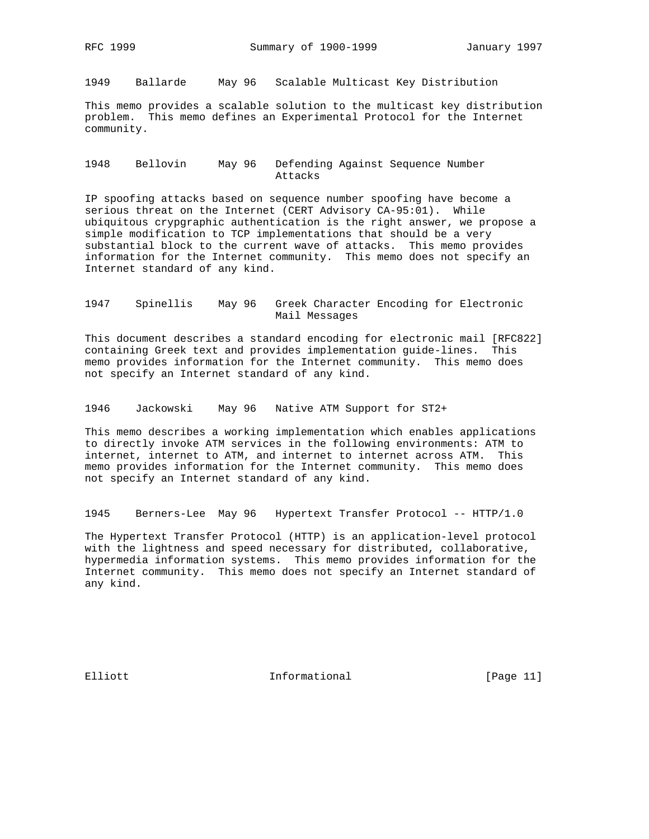1949 Ballarde May 96 Scalable Multicast Key Distribution

This memo provides a scalable solution to the multicast key distribution problem. This memo defines an Experimental Protocol for the Internet community.

### 1948 Bellovin May 96 Defending Against Sequence Number Attacks

IP spoofing attacks based on sequence number spoofing have become a serious threat on the Internet (CERT Advisory CA-95:01). While ubiquitous crypgraphic authentication is the right answer, we propose a simple modification to TCP implementations that should be a very substantial block to the current wave of attacks. This memo provides information for the Internet community. This memo does not specify an Internet standard of any kind.

## 1947 Spinellis May 96 Greek Character Encoding for Electronic Mail Messages

This document describes a standard encoding for electronic mail [RFC822] containing Greek text and provides implementation guide-lines. This memo provides information for the Internet community. This memo does not specify an Internet standard of any kind.

1946 Jackowski May 96 Native ATM Support for ST2+

This memo describes a working implementation which enables applications to directly invoke ATM services in the following environments: ATM to internet, internet to ATM, and internet to internet across ATM. This memo provides information for the Internet community. This memo does not specify an Internet standard of any kind.

1945 Berners-Lee May 96 Hypertext Transfer Protocol -- HTTP/1.0

The Hypertext Transfer Protocol (HTTP) is an application-level protocol with the lightness and speed necessary for distributed, collaborative, hypermedia information systems. This memo provides information for the Internet community. This memo does not specify an Internet standard of any kind.

Elliott 1nformational [Page 11]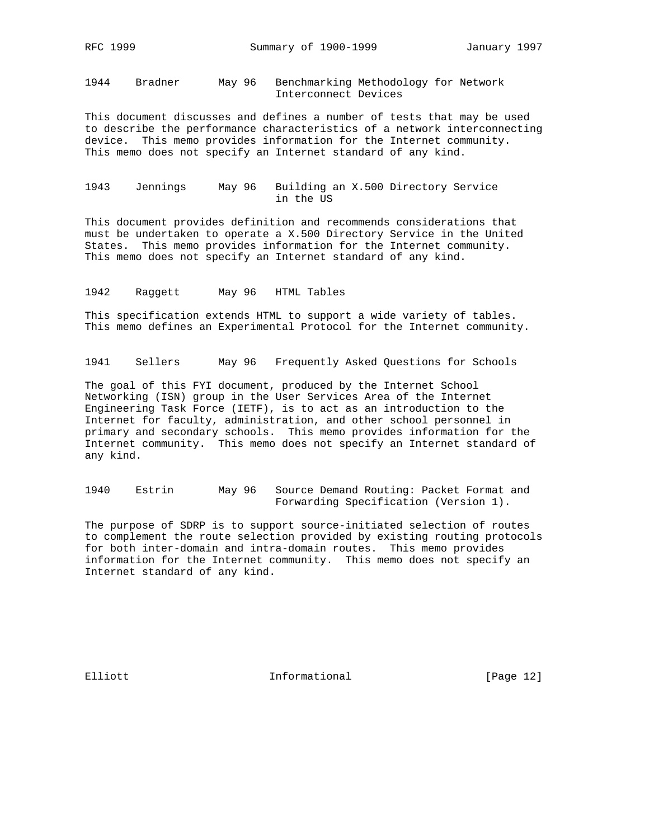1944 Bradner May 96 Benchmarking Methodology for Network Interconnect Devices

This document discusses and defines a number of tests that may be used to describe the performance characteristics of a network interconnecting device. This memo provides information for the Internet community. This memo does not specify an Internet standard of any kind.

1943 Jennings May 96 Building an X.500 Directory Service in the US

This document provides definition and recommends considerations that must be undertaken to operate a X.500 Directory Service in the United States. This memo provides information for the Internet community. This memo does not specify an Internet standard of any kind.

1942 Raggett May 96 HTML Tables

This specification extends HTML to support a wide variety of tables. This memo defines an Experimental Protocol for the Internet community.

1941 Sellers May 96 Frequently Asked Questions for Schools

The goal of this FYI document, produced by the Internet School Networking (ISN) group in the User Services Area of the Internet Engineering Task Force (IETF), is to act as an introduction to the Internet for faculty, administration, and other school personnel in primary and secondary schools. This memo provides information for the Internet community. This memo does not specify an Internet standard of any kind.

1940 Estrin May 96 Source Demand Routing: Packet Format and Forwarding Specification (Version 1).

The purpose of SDRP is to support source-initiated selection of routes to complement the route selection provided by existing routing protocols for both inter-domain and intra-domain routes. This memo provides information for the Internet community. This memo does not specify an Internet standard of any kind.

Elliott 1nformational [Page 12]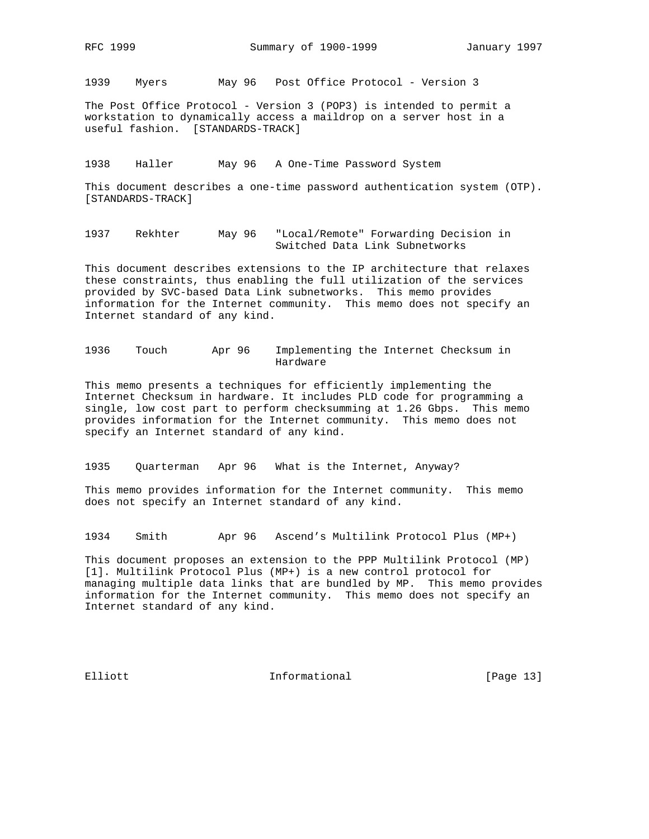1939 Myers May 96 Post Office Protocol - Version 3

The Post Office Protocol - Version 3 (POP3) is intended to permit a workstation to dynamically access a maildrop on a server host in a useful fashion. [STANDARDS-TRACK]

1938 Haller May 96 A One-Time Password System

This document describes a one-time password authentication system (OTP). [STANDARDS-TRACK]

1937 Rekhter May 96 "Local/Remote" Forwarding Decision in Switched Data Link Subnetworks

This document describes extensions to the IP architecture that relaxes these constraints, thus enabling the full utilization of the services provided by SVC-based Data Link subnetworks. This memo provides information for the Internet community. This memo does not specify an Internet standard of any kind.

1936 Touch Apr 96 Implementing the Internet Checksum in Hardware

This memo presents a techniques for efficiently implementing the Internet Checksum in hardware. It includes PLD code for programming a single, low cost part to perform checksumming at 1.26 Gbps. This memo provides information for the Internet community. This memo does not specify an Internet standard of any kind.

1935 Quarterman Apr 96 What is the Internet, Anyway?

This memo provides information for the Internet community. This memo does not specify an Internet standard of any kind.

1934 Smith Apr 96 Ascend's Multilink Protocol Plus (MP+)

This document proposes an extension to the PPP Multilink Protocol (MP) [1]. Multilink Protocol Plus (MP+) is a new control protocol for managing multiple data links that are bundled by MP. This memo provides information for the Internet community. This memo does not specify an Internet standard of any kind.

Elliott 1nformational [Page 13]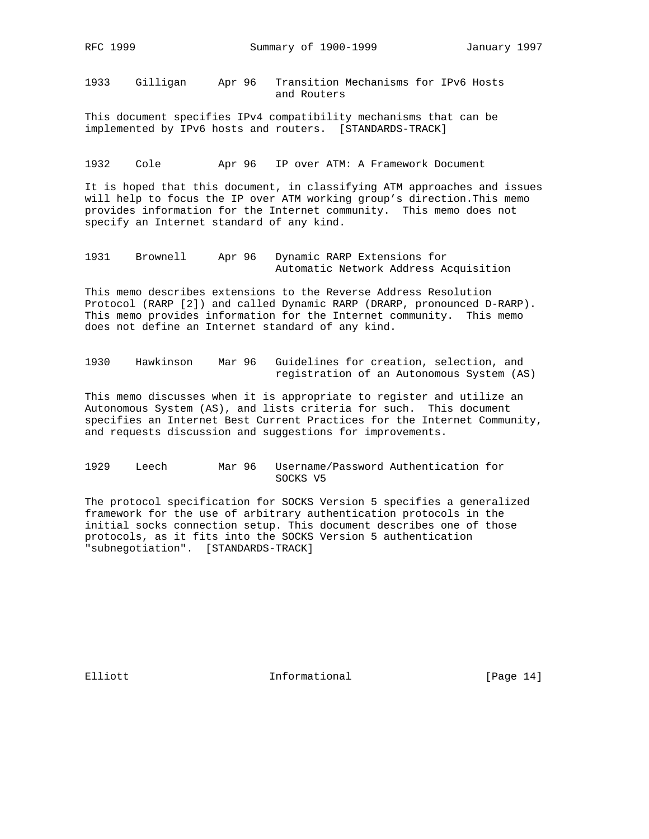1933 Gilligan Apr 96 Transition Mechanisms for IPv6 Hosts and Routers

This document specifies IPv4 compatibility mechanisms that can be implemented by IPv6 hosts and routers. [STANDARDS-TRACK]

1932 Cole Apr 96 IP over ATM: A Framework Document

It is hoped that this document, in classifying ATM approaches and issues will help to focus the IP over ATM working group's direction.This memo provides information for the Internet community. This memo does not specify an Internet standard of any kind.

1931 Brownell Apr 96 Dynamic RARP Extensions for Automatic Network Address Acquisition

This memo describes extensions to the Reverse Address Resolution Protocol (RARP [2]) and called Dynamic RARP (DRARP, pronounced D-RARP). This memo provides information for the Internet community. This memo does not define an Internet standard of any kind.

1930 Hawkinson Mar 96 Guidelines for creation, selection, and registration of an Autonomous System (AS)

This memo discusses when it is appropriate to register and utilize an Autonomous System (AS), and lists criteria for such. This document specifies an Internet Best Current Practices for the Internet Community, and requests discussion and suggestions for improvements.

1929 Leech Mar 96 Username/Password Authentication for SOCKS V5

The protocol specification for SOCKS Version 5 specifies a generalized framework for the use of arbitrary authentication protocols in the initial socks connection setup. This document describes one of those protocols, as it fits into the SOCKS Version 5 authentication "subnegotiation". [STANDARDS-TRACK]

Elliott 1nformational [Page 14]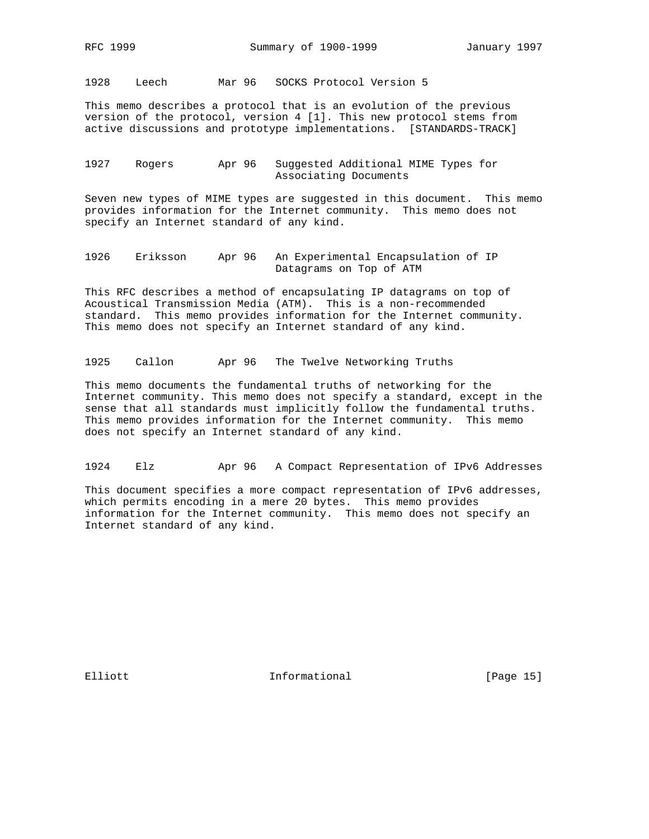1928 Leech Mar 96 SOCKS Protocol Version 5

This memo describes a protocol that is an evolution of the previous version of the protocol, version 4 [1]. This new protocol stems from active discussions and prototype implementations. [STANDARDS-TRACK]

### 1927 Rogers Apr 96 Suggested Additional MIME Types for Associating Documents

Seven new types of MIME types are suggested in this document. This memo provides information for the Internet community. This memo does not specify an Internet standard of any kind.

1926 Eriksson Apr 96 An Experimental Encapsulation of IP Datagrams on Top of ATM

This RFC describes a method of encapsulating IP datagrams on top of Acoustical Transmission Media (ATM). This is a non-recommended standard. This memo provides information for the Internet community. This memo does not specify an Internet standard of any kind.

1925 Callon Apr 96 The Twelve Networking Truths

This memo documents the fundamental truths of networking for the Internet community. This memo does not specify a standard, except in the sense that all standards must implicitly follow the fundamental truths. This memo provides information for the Internet community. This memo does not specify an Internet standard of any kind.

1924 Elz Apr 96 A Compact Representation of IPv6 Addresses

This document specifies a more compact representation of IPv6 addresses, which permits encoding in a mere 20 bytes. This memo provides information for the Internet community. This memo does not specify an Internet standard of any kind.

Elliott 1nformational [Page 15]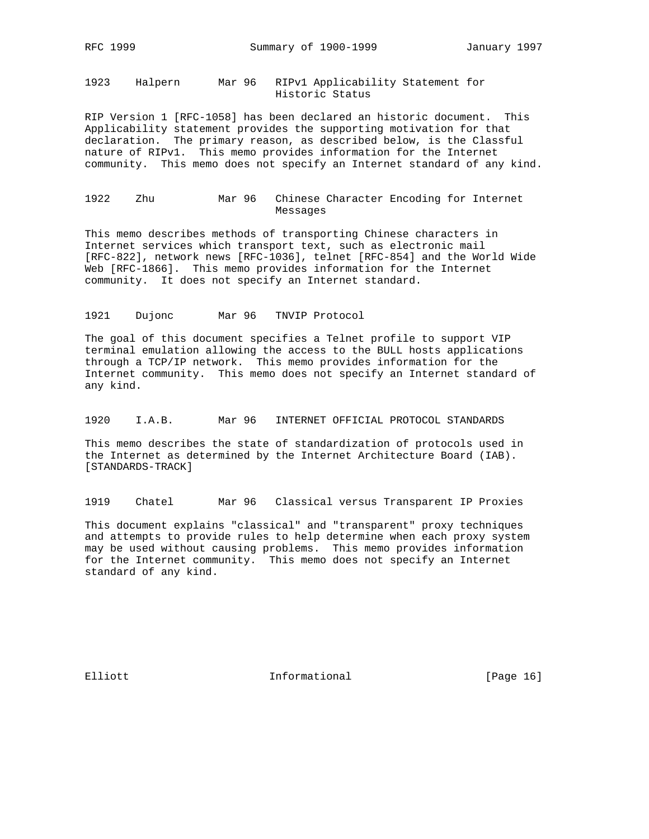1923 Halpern Mar 96 RIPv1 Applicability Statement for Historic Status

RIP Version 1 [RFC-1058] has been declared an historic document. This Applicability statement provides the supporting motivation for that declaration. The primary reason, as described below, is the Classful nature of RIPv1. This memo provides information for the Internet community. This memo does not specify an Internet standard of any kind.

### 1922 Zhu Mar 96 Chinese Character Encoding for Internet Messages

This memo describes methods of transporting Chinese characters in Internet services which transport text, such as electronic mail [RFC-822], network news [RFC-1036], telnet [RFC-854] and the World Wide Web [RFC-1866]. This memo provides information for the Internet community. It does not specify an Internet standard.

#### 1921 Dujonc Mar 96 TNVIP Protocol

The goal of this document specifies a Telnet profile to support VIP terminal emulation allowing the access to the BULL hosts applications through a TCP/IP network. This memo provides information for the Internet community. This memo does not specify an Internet standard of any kind.

# 1920 I.A.B. Mar 96 INTERNET OFFICIAL PROTOCOL STANDARDS

This memo describes the state of standardization of protocols used in the Internet as determined by the Internet Architecture Board (IAB). [STANDARDS-TRACK]

1919 Chatel Mar 96 Classical versus Transparent IP Proxies

This document explains "classical" and "transparent" proxy techniques and attempts to provide rules to help determine when each proxy system may be used without causing problems. This memo provides information for the Internet community. This memo does not specify an Internet standard of any kind.

Elliott 1nformational [Page 16]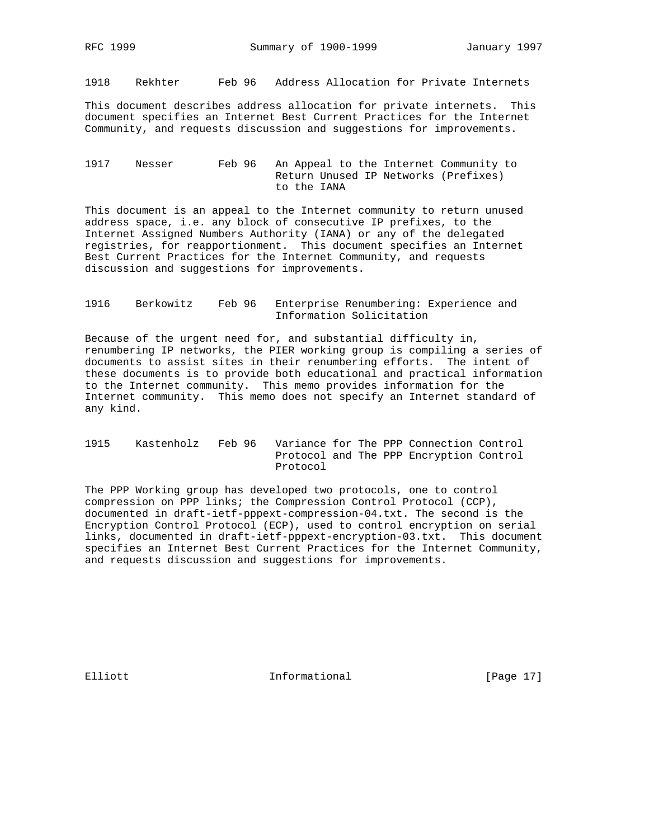1918 Rekhter Feb 96 Address Allocation for Private Internets

This document describes address allocation for private internets. This document specifies an Internet Best Current Practices for the Internet Community, and requests discussion and suggestions for improvements.

### 1917 Nesser Feb 96 An Appeal to the Internet Community to Return Unused IP Networks (Prefixes) to the IANA

This document is an appeal to the Internet community to return unused address space, i.e. any block of consecutive IP prefixes, to the Internet Assigned Numbers Authority (IANA) or any of the delegated registries, for reapportionment. This document specifies an Internet Best Current Practices for the Internet Community, and requests discussion and suggestions for improvements.

## 1916 Berkowitz Feb 96 Enterprise Renumbering: Experience and Information Solicitation

Because of the urgent need for, and substantial difficulty in, renumbering IP networks, the PIER working group is compiling a series of documents to assist sites in their renumbering efforts. The intent of these documents is to provide both educational and practical information to the Internet community. This memo provides information for the Internet community. This memo does not specify an Internet standard of any kind.

## 1915 Kastenholz Feb 96 Variance for The PPP Connection Control Protocol and The PPP Encryption Control Protocol

The PPP Working group has developed two protocols, one to control compression on PPP links; the Compression Control Protocol (CCP), documented in draft-ietf-pppext-compression-04.txt. The second is the Encryption Control Protocol (ECP), used to control encryption on serial links, documented in draft-ietf-pppext-encryption-03.txt. This document specifies an Internet Best Current Practices for the Internet Community, and requests discussion and suggestions for improvements.

Elliott 1nformational [Page 17]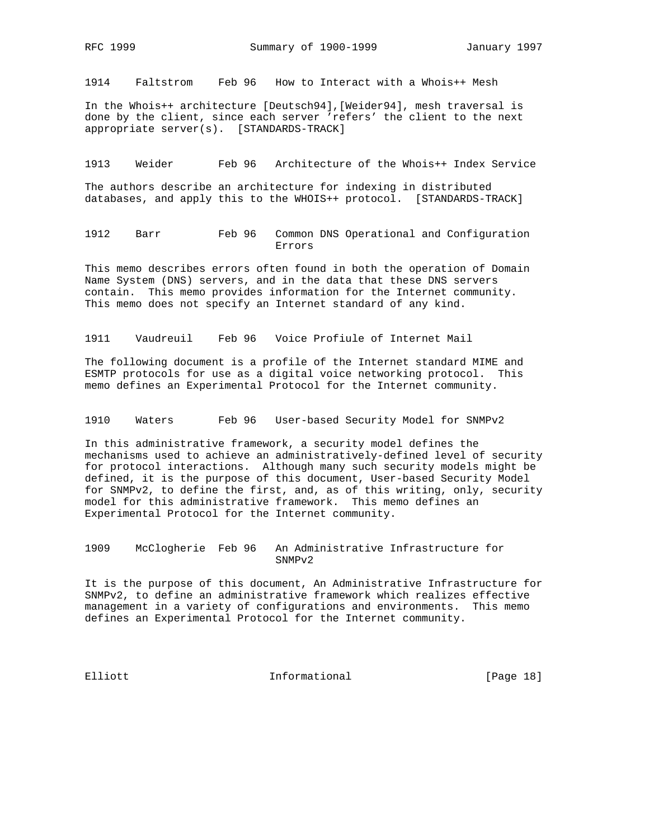1914 Faltstrom Feb 96 How to Interact with a Whois++ Mesh

In the Whois++ architecture [Deutsch94],[Weider94], mesh traversal is done by the client, since each server 'refers' the client to the next appropriate server(s). [STANDARDS-TRACK]

1913 Weider Feb 96 Architecture of the Whois++ Index Service

The authors describe an architecture for indexing in distributed databases, and apply this to the WHOIS++ protocol. [STANDARDS-TRACK]

1912 Barr Feb 96 Common DNS Operational and Configuration Errors

This memo describes errors often found in both the operation of Domain Name System (DNS) servers, and in the data that these DNS servers contain. This memo provides information for the Internet community. This memo does not specify an Internet standard of any kind.

1911 Vaudreuil Feb 96 Voice Profiule of Internet Mail

The following document is a profile of the Internet standard MIME and ESMTP protocols for use as a digital voice networking protocol. This memo defines an Experimental Protocol for the Internet community.

1910 Waters Feb 96 User-based Security Model for SNMPv2

In this administrative framework, a security model defines the mechanisms used to achieve an administratively-defined level of security for protocol interactions. Although many such security models might be defined, it is the purpose of this document, User-based Security Model for SNMPv2, to define the first, and, as of this writing, only, security model for this administrative framework. This memo defines an Experimental Protocol for the Internet community.

1909 McClogherie Feb 96 An Administrative Infrastructure for SNMPv2

It is the purpose of this document, An Administrative Infrastructure for SNMPv2, to define an administrative framework which realizes effective management in a variety of configurations and environments. This memo defines an Experimental Protocol for the Internet community.

Elliott **Informational** [Page 18]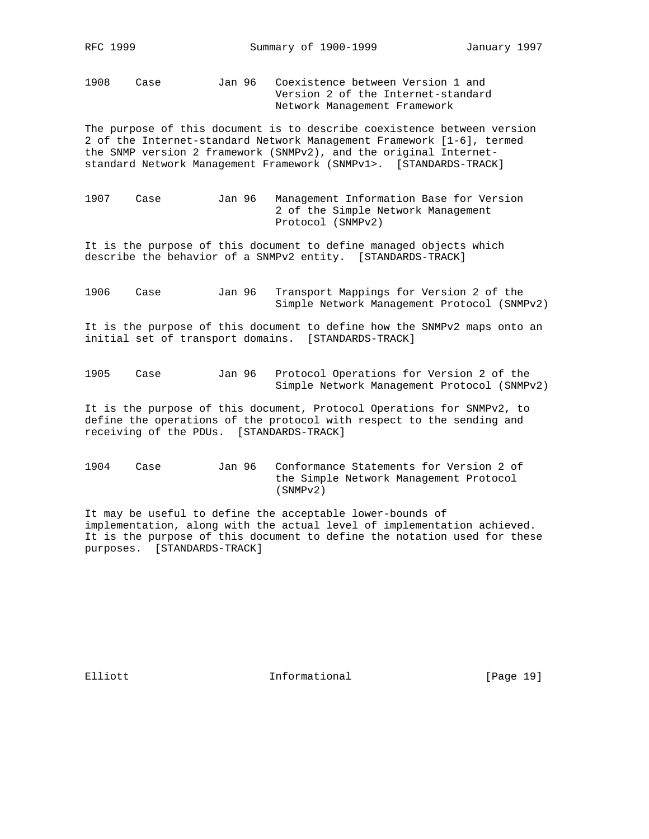1908 Case Jan 96 Coexistence between Version 1 and Version 2 of the Internet-standard Network Management Framework

The purpose of this document is to describe coexistence between version 2 of the Internet-standard Network Management Framework [1-6], termed the SNMP version 2 framework (SNMPv2), and the original Internetstandard Network Management Framework (SNMPv1>. [STANDARDS-TRACK]

1907 Case Jan 96 Management Information Base for Version 2 of the Simple Network Management Protocol (SNMPv2)

It is the purpose of this document to define managed objects which describe the behavior of a SNMPv2 entity. [STANDARDS-TRACK]

1906 Case Jan 96 Transport Mappings for Version 2 of the Simple Network Management Protocol (SNMPv2)

It is the purpose of this document to define how the SNMPv2 maps onto an initial set of transport domains. [STANDARDS-TRACK]

1905 Case Jan 96 Protocol Operations for Version 2 of the Simple Network Management Protocol (SNMPv2)

It is the purpose of this document, Protocol Operations for SNMPv2, to define the operations of the protocol with respect to the sending and receiving of the PDUs. [STANDARDS-TRACK]

1904 Case Jan 96 Conformance Statements for Version 2 of the Simple Network Management Protocol (SNMPv2)

It may be useful to define the acceptable lower-bounds of implementation, along with the actual level of implementation achieved. It is the purpose of this document to define the notation used for these purposes. [STANDARDS-TRACK]

Elliott 1nformational [Page 19]